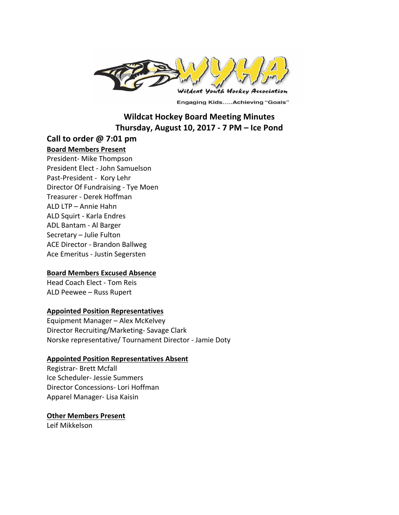

**Engaging Kids.....Achieving "Goals"** 

# **Wildcat Hockey Board Meeting Minutes Thursday, August 10, 2017 - 7 PM – Ice Pond**

## **Call to order @ 7:01 pm**

#### **Board Members Present**

President- Mike Thompson President Elect - John Samuelson Past-President - Kory Lehr Director Of Fundraising - Tye Moen Treasurer - Derek Hoffman ALD LTP – Annie Hahn ALD Squirt - Karla Endres ADL Bantam - Al Barger Secretary – Julie Fulton ACE Director - Brandon Ballweg Ace Emeritus - Justin Segersten

### **Board Members Excused Absence**

Head Coach Elect - Tom Reis ALD Peewee - Russ Rupert

### **Appointed Position Representatives**

Equipment Manager - Alex McKelvey Director Recruiting/Marketing- Savage Clark Norske representative/ Tournament Director - Jamie Doty

#### **Appointed Position Representatives Absent**

Registrar- Brett Mcfall Ice Scheduler- Jessie Summers Director Concessions- Lori Hoffman Apparel Manager- Lisa Kaisin

### **Other Members Present**

Leif Mikkelson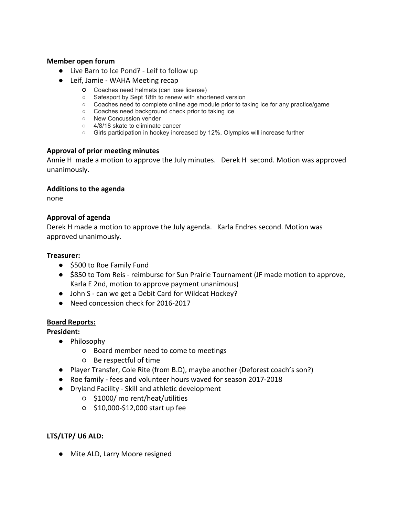### **Member open forum**

- Live Barn to Ice Pond? Leif to follow up
- Leif, Jamie WAHA Meeting recap
	- Coaches need helmets (can lose license)
	- Safesport by Sept 18th to renew with shortened version
	- Coaches need to complete online age module prior to taking ice for any practice/game
	- Coaches need background check prior to taking ice
	- New Concussion vender
	- 4/8/18 skate to eliminate cancer
	- Girls participation in hockey increased by 12%, Olympics will increase further

### **Approval of prior meeting minutes**

Annie H made a motion to approve the July minutes. Derek H second. Motion was approved unanimously. 

### **Additions to the agenda**

none

## **Approval of agenda**

Derek H made a motion to approve the July agenda. Karla Endres second. Motion was approved unanimously.

### **Treasurer:**

- \$500 to Roe Family Fund
- \$850 to Tom Reis reimburse for Sun Prairie Tournament (JF made motion to approve, Karla E 2nd, motion to approve payment unanimous)
- John S can we get a Debit Card for Wildcat Hockey?
- Need concession check for 2016-2017

### **Board Reports:**

**President:**

- Philosophy
	- Board member need to come to meetings
	- Be respectful of time
- Player Transfer, Cole Rite (from B.D), maybe another (Deforest coach's son?)
- Roe family fees and volunteer hours waved for season 2017-2018
- Dryland Facility - Skill and athletic development
	- \$1000/ mo rent/heat/utilities
	- \$10,000-\$12,000 start up fee

## LTS/LTP/ U6 ALD:

● Mite ALD, Larry Moore resigned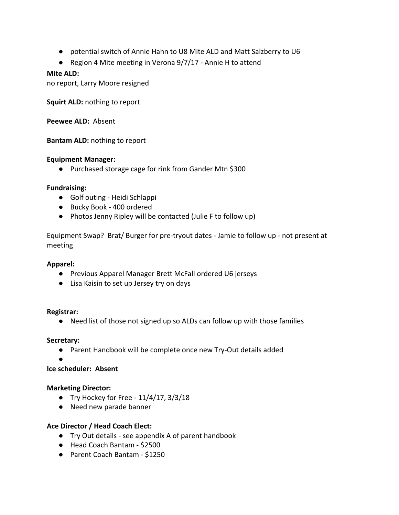- potential switch of Annie Hahn to U8 Mite ALD and Matt Salzberry to U6
- Region 4 Mite meeting in Verona 9/7/17 Annie H to attend

## **Mite ALD:**

no report, Larry Moore resigned

**Squirt ALD:** nothing to report

**Peewee ALD: Absent** 

**Bantam ALD:** nothing to report

## **Equipment Manager:**

● Purchased storage cage for rink from Gander Mtn \$300

## **Fundraising:**

- Golf outing Heidi Schlappi
- Bucky Book 400 ordered
- Photos Jenny Ripley will be contacted (Julie F to follow up)

Equipment Swap? Brat/ Burger for pre-tryout dates - Jamie to follow up - not present at meeting

### **Apparel:**

- Previous Apparel Manager Brett McFall ordered U6 jerseys
- Lisa Kaisin to set up Jersey try on days

### **Registrar:**

● Need list of those not signed up so ALDs can follow up with those families

### **Secretary:**

● Parent Handbook will be complete once new Try-Out details added

●

**Ice scheduler: Absent**

### **Marketing Director:**

- Try Hockey for Free  $11/4/17$ ,  $3/3/18$
- Need new parade banner

## Ace Director / Head Coach Elect:

- Try Out details see appendix A of parent handbook
- Head Coach Bantam \$2500
- Parent Coach Bantam \$1250